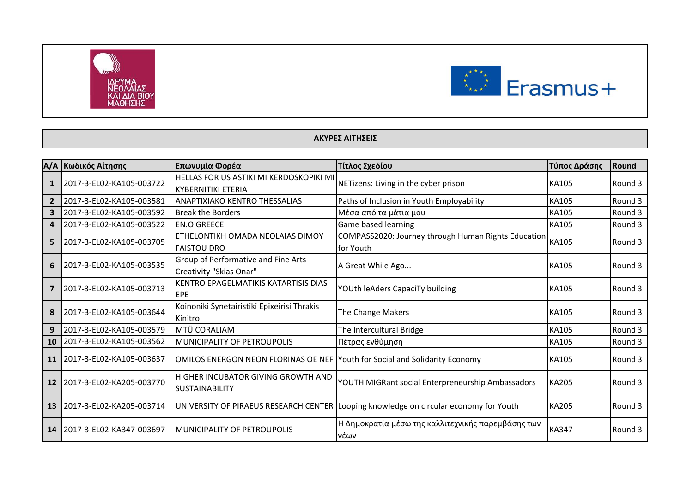



## **ΑΚΥΡΕΣ ΑΙΤΗΣΕΙΣ**

| A/A            | Κωδικός Αίτησης          | Επωνυμία Φορέα                                                                     | Τίτλος Σχεδίου                                                                        | Τύπος Δράσης | Round   |
|----------------|--------------------------|------------------------------------------------------------------------------------|---------------------------------------------------------------------------------------|--------------|---------|
|                | 2017-3-EL02-KA105-003722 | <b>HELLAS FOR US ASTIKI MI KERDOSKOPIKI MI</b><br><b>KYBERNITIKI ETERIA</b>        | NETizens: Living in the cyber prison                                                  | <b>KA105</b> | Round 3 |
| $\overline{2}$ | 2017-3-EL02-KA105-003581 | <b>ANAPTIXIAKO KENTRO THESSALIAS</b>                                               | Paths of Inclusion in Youth Employability                                             | <b>KA105</b> | Round 3 |
| 3              | 2017-3-EL02-KA105-003592 | <b>Break the Borders</b>                                                           | Μέσα από τα μάτια μου                                                                 | KA105        | Round 3 |
| 4              | 2017-3-EL02-KA105-003522 | <b>EN.O GREECE</b>                                                                 | Game based learning                                                                   | <b>KA105</b> | Round 3 |
| 5              | 2017-3-EL02-KA105-003705 | ETHELONTIKH OMADA NEOLAIAS DIMOY<br><b>FAISTOU DRO</b>                             | COMPASS2020: Journey through Human Rights Education<br>for Youth                      | <b>KA105</b> | Round 3 |
| 6              | 2017-3-EL02-KA105-003535 | Group of Performative and Fine Arts<br>Creativity "Skias Onar"                     | A Great While Ago                                                                     | <b>KA105</b> | Round 3 |
|                | 2017-3-EL02-KA105-003713 | KENTRO EPAGELMATIKIS KATARTISIS DIAS<br>EPE                                        | YOUth leAders CapaciTy building                                                       | <b>KA105</b> | Round 3 |
|                | 2017-3-EL02-KA105-003644 | Koinoniki Synetairistiki Epixeirisi Thrakis<br>Kinitro                             | The Change Makers                                                                     | <b>KA105</b> | Round 3 |
| 9              | 2017-3-EL02-KA105-003579 | MTÜ CORALIAM                                                                       | The Intercultural Bridge                                                              | <b>KA105</b> | Round 3 |
| <b>10</b>      | 2017-3-EL02-KA105-003562 | MUNICIPALITY OF PETROUPOLIS                                                        | Πέτρας ενθύμηση                                                                       | <b>KA105</b> | Round 3 |
| 11             | 2017-3-EL02-KA105-003637 | <b>OMILOS ENERGON NEON FLORINAS OE NEF Youth for Social and Solidarity Economy</b> |                                                                                       | <b>KA105</b> | Round 3 |
| <b>12</b>      | 2017-3-EL02-KA205-003770 | HIGHER INCUBATOR GIVING GROWTH AND<br><b>SUSTAINABILITY</b>                        | YOUTH MIGRant social Enterpreneurship Ambassadors                                     | <b>KA205</b> | Round 3 |
| 13             | 2017-3-EL02-KA205-003714 |                                                                                    | UNIVERSITY OF PIRAEUS RESEARCH CENTER Looping knowledge on circular economy for Youth | <b>KA205</b> | Round 3 |
| 14             | 2017-3-EL02-KA347-003697 | IMUNICIPALITY OF PETROUPOLIS                                                       | Η Δημοκρατία μέσω της καλλιτεχνικής παρεμβάσης των<br>νέων                            | <b>KA347</b> | Round 3 |